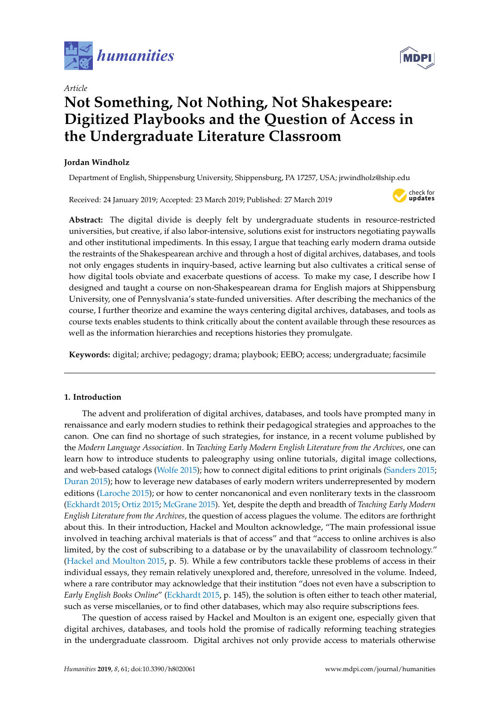

*Article*

# **Not Something, Not Nothing, Not Shakespeare: Digitized Playbooks and the Question of Access in the Undergraduate Literature Classroom**

# **Jordan Windholz**

Department of English, Shippensburg University, Shippensburg, PA 17257, USA; jrwindholz@ship.edu

Received: 24 January 2019; Accepted: 23 March 2019; Published: 27 March 2019

check for updates

**Abstract:** The digital divide is deeply felt by undergraduate students in resource-restricted universities, but creative, if also labor-intensive, solutions exist for instructors negotiating paywalls and other institutional impediments. In this essay, I argue that teaching early modern drama outside the restraints of the Shakespearean archive and through a host of digital archives, databases, and tools not only engages students in inquiry-based, active learning but also cultivates a critical sense of how digital tools obviate and exacerbate questions of access. To make my case, I describe how I designed and taught a course on non-Shakespearean drama for English majors at Shippensburg University, one of Pennyslvania's state-funded universities. After describing the mechanics of the course, I further theorize and examine the ways centering digital archives, databases, and tools as course texts enables students to think critically about the content available through these resources as well as the information hierarchies and receptions histories they promulgate.

**Keywords:** digital; archive; pedagogy; drama; playbook; EEBO; access; undergraduate; facsimile

# **1. Introduction**

The advent and proliferation of digital archives, databases, and tools have prompted many in renaissance and early modern studies to rethink their pedagogical strategies and approaches to the canon. One can find no shortage of such strategies, for instance, in a recent volume published by the *Modern Language Association*. In *Teaching Early Modern English Literature from the Archives*, one can learn how to introduce students to paleography using online tutorials, digital image collections, and web-based catalogs [\(Wolfe](#page-13-0) [2015\)](#page-13-0); how to connect digital editions to print originals [\(Sanders](#page-13-1) [2015;](#page-13-1) [Duran](#page-12-0) [2015\)](#page-12-0); how to leverage new databases of early modern writers underrepresented by modern editions [\(Laroche](#page-13-2) [2015\)](#page-13-2); or how to center noncanonical and even nonliterary texts in the classroom [\(Eckhardt](#page-12-1) [2015;](#page-12-1) [Ortiz](#page-13-3) [2015;](#page-13-3) [McGrane](#page-13-4) [2015\)](#page-13-4). Yet, despite the depth and breadth of *Teaching Early Modern English Literature from the Archives*, the question of access plagues the volume. The editors are forthright about this. In their introduction, Hackel and Moulton acknowledge, "The main professional issue involved in teaching archival materials is that of access" and that "access to online archives is also limited, by the cost of subscribing to a database or by the unavailability of classroom technology." [\(Hackel and Moulton](#page-12-2) [2015,](#page-12-2) p. 5). While a few contributors tackle these problems of access in their individual essays, they remain relatively unexplored and, therefore, unresolved in the volume. Indeed, where a rare contributor may acknowledge that their institution "does not even have a subscription to *Early English Books Online*" [\(Eckhardt](#page-12-1) [2015,](#page-12-1) p. 145), the solution is often either to teach other material, such as verse miscellanies, or to find other databases, which may also require subscriptions fees.

The question of access raised by Hackel and Moulton is an exigent one, especially given that digital archives, databases, and tools hold the promise of radically reforming teaching strategies in the undergraduate classroom. Digital archives not only provide access to materials otherwise

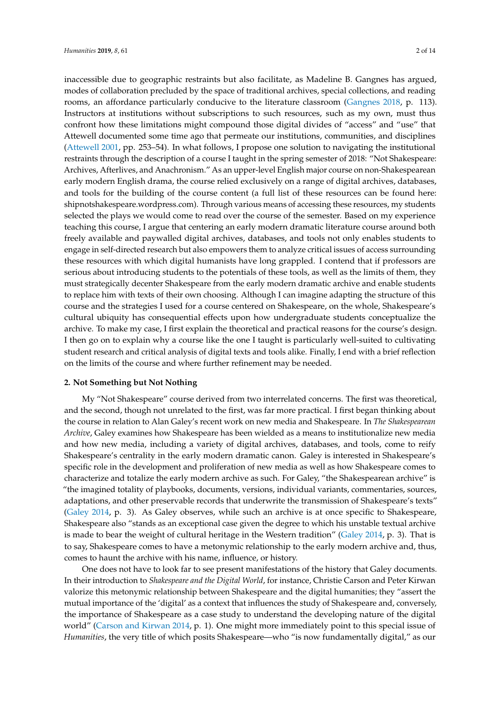inaccessible due to geographic restraints but also facilitate, as Madeline B. Gangnes has argued, modes of collaboration precluded by the space of traditional archives, special collections, and reading rooms, an affordance particularly conducive to the literature classroom [\(Gangnes](#page-12-3) [2018,](#page-12-3) p. 113). Instructors at institutions without subscriptions to such resources, such as my own, must thus confront how these limitations might compound those digital divides of "access" and "use" that Attewell documented some time ago that permeate our institutions, communities, and disciplines [\(Attewell](#page-12-4) [2001,](#page-12-4) pp. 253–54). In what follows, I propose one solution to navigating the institutional restraints through the description of a course I taught in the spring semester of 2018: "Not Shakespeare: Archives, Afterlives, and Anachronism." As an upper-level English major course on non-Shakespearean early modern English drama, the course relied exclusively on a range of digital archives, databases, and tools for the building of the course content (a full list of these resources can be found here: shipnotshakespeare.wordpress.com). Through various means of accessing these resources, my students selected the plays we would come to read over the course of the semester. Based on my experience teaching this course, I argue that centering an early modern dramatic literature course around both freely available and paywalled digital archives, databases, and tools not only enables students to engage in self-directed research but also empowers them to analyze critical issues of access surrounding these resources with which digital humanists have long grappled. I contend that if professors are serious about introducing students to the potentials of these tools, as well as the limits of them, they must strategically decenter Shakespeare from the early modern dramatic archive and enable students to replace him with texts of their own choosing. Although I can imagine adapting the structure of this course and the strategies I used for a course centered on Shakespeare, on the whole, Shakespeare's cultural ubiquity has consequential effects upon how undergraduate students conceptualize the archive. To make my case, I first explain the theoretical and practical reasons for the course's design. I then go on to explain why a course like the one I taught is particularly well-suited to cultivating student research and critical analysis of digital texts and tools alike. Finally, I end with a brief reflection on the limits of the course and where further refinement may be needed.

## **2. Not Something but Not Nothing**

My "Not Shakespeare" course derived from two interrelated concerns. The first was theoretical, and the second, though not unrelated to the first, was far more practical. I first began thinking about the course in relation to Alan Galey's recent work on new media and Shakespeare. In *The Shakespearean Archive*, Galey examines how Shakespeare has been wielded as a means to institutionalize new media and how new media, including a variety of digital archives, databases, and tools, come to reify Shakespeare's centrality in the early modern dramatic canon. Galey is interested in Shakespeare's specific role in the development and proliferation of new media as well as how Shakespeare comes to characterize and totalize the early modern archive as such. For Galey, "the Shakespearean archive" is "the imagined totality of playbooks, documents, versions, individual variants, commentaries, sources, adaptations, and other preservable records that underwrite the transmission of Shakespeare's texts" [\(Galey](#page-12-5) [2014,](#page-12-5) p. 3). As Galey observes, while such an archive is at once specific to Shakespeare, Shakespeare also "stands as an exceptional case given the degree to which his unstable textual archive is made to bear the weight of cultural heritage in the Western tradition" [\(Galey](#page-12-5) [2014,](#page-12-5) p. 3). That is to say, Shakespeare comes to have a metonymic relationship to the early modern archive and, thus, comes to haunt the archive with his name, influence, or history.

One does not have to look far to see present manifestations of the history that Galey documents. In their introduction to *Shakespeare and the Digital World*, for instance, Christie Carson and Peter Kirwan valorize this metonymic relationship between Shakespeare and the digital humanities; they "assert the mutual importance of the 'digital' as a context that influences the study of Shakespeare and, conversely, the importance of Shakespeare as a case study to understand the developing nature of the digital world" [\(Carson and Kirwan](#page-12-6) [2014,](#page-12-6) p. 1). One might more immediately point to this special issue of *Humanities*, the very title of which posits Shakespeare—who "is now fundamentally digital," as our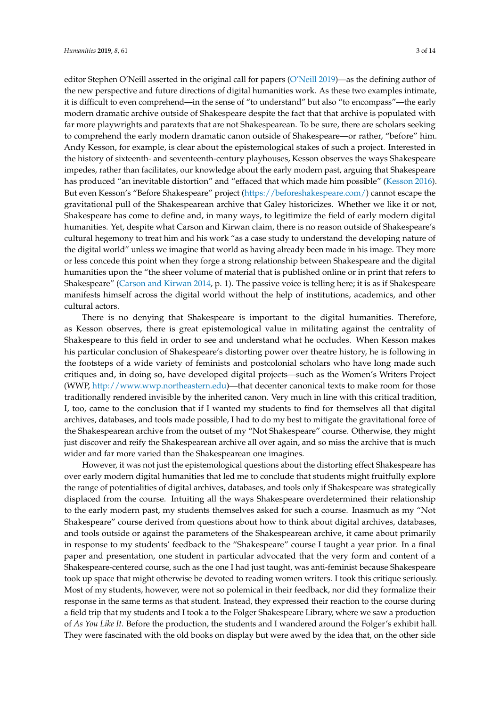editor Stephen O'Neill asserted in the original call for papers [\(O'Neill](#page-13-5) [2019\)](#page-13-5)—as the defining author of the new perspective and future directions of digital humanities work. As these two examples intimate, it is difficult to even comprehend—in the sense of "to understand" but also "to encompass"—the early modern dramatic archive outside of Shakespeare despite the fact that that archive is populated with far more playwrights and paratexts that are not Shakespearean. To be sure, there are scholars seeking to comprehend the early modern dramatic canon outside of Shakespeare—or rather, "before" him. Andy Kesson, for example, is clear about the epistemological stakes of such a project. Interested in the history of sixteenth- and seventeenth-century playhouses, Kesson observes the ways Shakespeare impedes, rather than facilitates, our knowledge about the early modern past, arguing that Shakespeare has produced "an inevitable distortion" and "effaced that which made him possible" [\(Kesson](#page-12-7) [2016\)](#page-12-7). But even Kesson's "Before Shakespeare" project [\(https://beforeshakespeare.com/\)](https://beforeshakespeare.com/) cannot escape the gravitational pull of the Shakespearean archive that Galey historicizes. Whether we like it or not, Shakespeare has come to define and, in many ways, to legitimize the field of early modern digital humanities. Yet, despite what Carson and Kirwan claim, there is no reason outside of Shakespeare's cultural hegemony to treat him and his work "as a case study to understand the developing nature of the digital world" unless we imagine that world as having already been made in his image. They more or less concede this point when they forge a strong relationship between Shakespeare and the digital humanities upon the "the sheer volume of material that is published online or in print that refers to Shakespeare" [\(Carson and Kirwan](#page-12-6) [2014,](#page-12-6) p. 1). The passive voice is telling here; it is as if Shakespeare manifests himself across the digital world without the help of institutions, academics, and other cultural actors.

There is no denying that Shakespeare is important to the digital humanities. Therefore, as Kesson observes, there is great epistemological value in militating against the centrality of Shakespeare to this field in order to see and understand what he occludes. When Kesson makes his particular conclusion of Shakespeare's distorting power over theatre history, he is following in the footsteps of a wide variety of feminists and postcolonial scholars who have long made such critiques and, in doing so, have developed digital projects—such as the Women's Writers Project (WWP, [http://www.wwp.northeastern.edu\)](http://www.wwp.northeastern.edu)—that decenter canonical texts to make room for those traditionally rendered invisible by the inherited canon. Very much in line with this critical tradition, I, too, came to the conclusion that if I wanted my students to find for themselves all that digital archives, databases, and tools made possible, I had to do my best to mitigate the gravitational force of the Shakespearean archive from the outset of my "Not Shakespeare" course. Otherwise, they might just discover and reify the Shakespearean archive all over again, and so miss the archive that is much wider and far more varied than the Shakespearean one imagines.

However, it was not just the epistemological questions about the distorting effect Shakespeare has over early modern digital humanities that led me to conclude that students might fruitfully explore the range of potentialities of digital archives, databases, and tools only if Shakespeare was strategically displaced from the course. Intuiting all the ways Shakespeare overdetermined their relationship to the early modern past, my students themselves asked for such a course. Inasmuch as my "Not Shakespeare" course derived from questions about how to think about digital archives, databases, and tools outside or against the parameters of the Shakespearean archive, it came about primarily in response to my students' feedback to the "Shakespeare" course I taught a year prior. In a final paper and presentation, one student in particular advocated that the very form and content of a Shakespeare-centered course, such as the one I had just taught, was anti-feminist because Shakespeare took up space that might otherwise be devoted to reading women writers. I took this critique seriously. Most of my students, however, were not so polemical in their feedback, nor did they formalize their response in the same terms as that student. Instead, they expressed their reaction to the course during a field trip that my students and I took a to the Folger Shakespeare Library, where we saw a production of *As You Like It*. Before the production, the students and I wandered around the Folger's exhibit hall. They were fascinated with the old books on display but were awed by the idea that, on the other side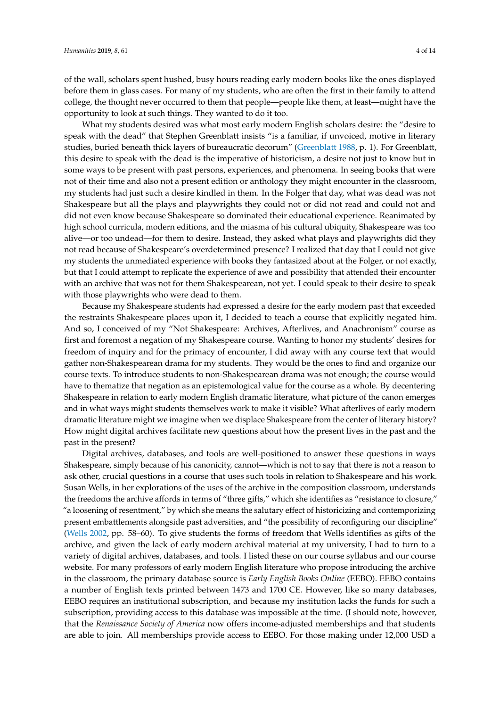of the wall, scholars spent hushed, busy hours reading early modern books like the ones displayed before them in glass cases. For many of my students, who are often the first in their family to attend college, the thought never occurred to them that people—people like them, at least—might have the opportunity to look at such things. They wanted to do it too.

What my students desired was what most early modern English scholars desire: the "desire to speak with the dead" that Stephen Greenblatt insists "is a familiar, if unvoiced, motive in literary studies, buried beneath thick layers of bureaucratic decorum" [\(Greenblatt](#page-12-8) [1988,](#page-12-8) p. 1). For Greenblatt, this desire to speak with the dead is the imperative of historicism, a desire not just to know but in some ways to be present with past persons, experiences, and phenomena. In seeing books that were not of their time and also not a present edition or anthology they might encounter in the classroom, my students had just such a desire kindled in them. In the Folger that day, what was dead was not Shakespeare but all the plays and playwrights they could not or did not read and could not and did not even know because Shakespeare so dominated their educational experience. Reanimated by high school curricula, modern editions, and the miasma of his cultural ubiquity, Shakespeare was too alive—or too undead—for them to desire. Instead, they asked what plays and playwrights did they not read because of Shakespeare's overdetermined presence? I realized that day that I could not give my students the unmediated experience with books they fantasized about at the Folger, or not exactly, but that I could attempt to replicate the experience of awe and possibility that attended their encounter with an archive that was not for them Shakespearean, not yet. I could speak to their desire to speak with those playwrights who were dead to them.

Because my Shakespeare students had expressed a desire for the early modern past that exceeded the restraints Shakespeare places upon it, I decided to teach a course that explicitly negated him. And so, I conceived of my "Not Shakespeare: Archives, Afterlives, and Anachronism" course as first and foremost a negation of my Shakespeare course. Wanting to honor my students' desires for freedom of inquiry and for the primacy of encounter, I did away with any course text that would gather non-Shakespearean drama for my students. They would be the ones to find and organize our course texts. To introduce students to non-Shakespearean drama was not enough; the course would have to thematize that negation as an epistemological value for the course as a whole. By decentering Shakespeare in relation to early modern English dramatic literature, what picture of the canon emerges and in what ways might students themselves work to make it visible? What afterlives of early modern dramatic literature might we imagine when we displace Shakespeare from the center of literary history? How might digital archives facilitate new questions about how the present lives in the past and the past in the present?

Digital archives, databases, and tools are well-positioned to answer these questions in ways Shakespeare, simply because of his canonicity, cannot—which is not to say that there is not a reason to ask other, crucial questions in a course that uses such tools in relation to Shakespeare and his work. Susan Wells, in her explorations of the uses of the archive in the composition classroom, understands the freedoms the archive affords in terms of "three gifts," which she identifies as "resistance to closure," "a loosening of resentment," by which she means the salutary effect of historicizing and contemporizing present embattlements alongside past adversities, and "the possibility of reconfiguring our discipline" [\(Wells](#page-13-6) [2002,](#page-13-6) pp. 58–60). To give students the forms of freedom that Wells identifies as gifts of the archive, and given the lack of early modern archival material at my university, I had to turn to a variety of digital archives, databases, and tools. I listed these on our course syllabus and our course website. For many professors of early modern English literature who propose introducing the archive in the classroom, the primary database source is *Early English Books Online* (EEBO). EEBO contains a number of English texts printed between 1473 and 1700 CE. However, like so many databases, EEBO requires an institutional subscription, and because my institution lacks the funds for such a subscription, providing access to this database was impossible at the time. (I should note, however, that the *Renaissance Society of America* now offers income-adjusted memberships and that students are able to join. All memberships provide access to EEBO. For those making under 12,000 USD a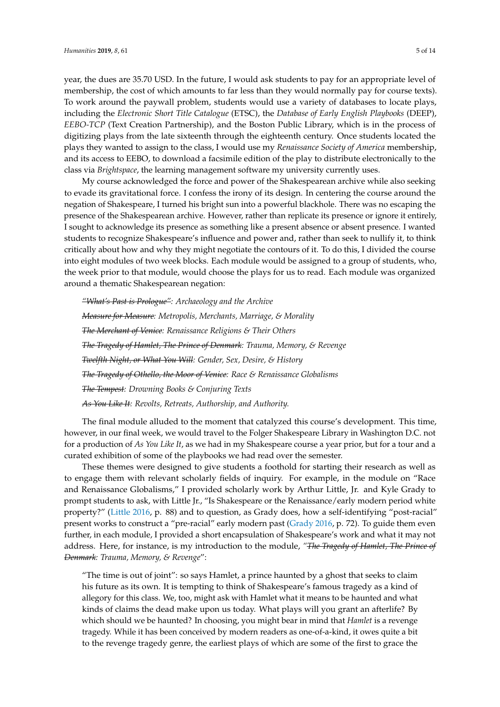year, the dues are 35.70 USD. In the future, I would ask students to pay for an appropriate level of membership, the cost of which amounts to far less than they would normally pay for course texts). To work around the paywall problem, students would use a variety of databases to locate plays, including the *Electronic Short Title Catalogue* (ETSC), the *Database of Early English Playbooks* (DEEP), *EEBO-TCP* (Text Creation Partnership), and the Boston Public Library, which is in the process of digitizing plays from the late sixteenth through the eighteenth century. Once students located the plays they wanted to assign to the class, I would use my *Renaissance Society of America* membership, and its access to EEBO, to download a facsimile edition of the play to distribute electronically to the class via *Brightspace*, the learning management software my university currently uses.

My course acknowledged the force and power of the Shakespearean archive while also seeking to evade its gravitational force. I confess the irony of its design. In centering the course around the negation of Shakespeare, I turned his bright sun into a powerful blackhole. There was no escaping the presence of the Shakespearean archive. However, rather than replicate its presence or ignore it entirely, I sought to acknowledge its presence as something like a present absence or absent presence. I wanted students to recognize Shakespeare's influence and power and, rather than seek to nullify it, to think critically about how and why they might negotiate the contours of it. To do this, I divided the course into eight modules of two week blocks. Each module would be assigned to a group of students, who, the week prior to that module, would choose the plays for us to read. Each module was organized around a thematic Shakespearean negation:

*"What's Past is Prologue": Archaeology and the Archive Measure for Measure: Metropolis, Merchants, Marriage, & Morality The Merchant of Venice: Renaissance Religions & Their Others The Tragedy of Hamlet, The Prince of Denmark: Trauma, Memory, & Revenge Twelfth Night, or What You Will: Gender, Sex, Desire, & History The Tragedy of Othello, the Moor of Venice: Race & Renaissance Globalisms The Tempest: Drowning Books & Conjuring Texts As You Like It: Revolts, Retreats, Authorship, and Authority.*

The final module alluded to the moment that catalyzed this course's development. This time, however, in our final week, we would travel to the Folger Shakespeare Library in Washington D.C. not for a production of *As You Like It*, as we had in my Shakespeare course a year prior, but for a tour and a curated exhibition of some of the playbooks we had read over the semester.

These themes were designed to give students a foothold for starting their research as well as to engage them with relevant scholarly fields of inquiry. For example, in the module on "Race and Renaissance Globalisms," I provided scholarly work by Arthur Little, Jr. and Kyle Grady to prompt students to ask, with Little Jr., "Is Shakespeare or the Renaissance/early modern period white property?" [\(Little](#page-13-7) [2016,](#page-13-7) p. 88) and to question, as Grady does, how a self-identifying "post-racial" present works to construct a "pre-racial" early modern past [\(Grady](#page-12-9) [2016,](#page-12-9) p. 72). To guide them even further, in each module, I provided a short encapsulation of Shakespeare's work and what it may not address. Here, for instance, is my introduction to the module, *"The Tragedy of Hamlet, The Prince of Denmark: Trauma, Memory, & Revenge*":

"The time is out of joint": so says Hamlet, a prince haunted by a ghost that seeks to claim his future as its own. It is tempting to think of Shakespeare's famous tragedy as a kind of allegory for this class. We, too, might ask with Hamlet what it means to be haunted and what kinds of claims the dead make upon us today. What plays will you grant an afterlife? By which should we be haunted? In choosing, you might bear in mind that *Hamlet* is a revenge tragedy. While it has been conceived by modern readers as one-of-a-kind, it owes quite a bit to the revenge tragedy genre, the earliest plays of which are some of the first to grace the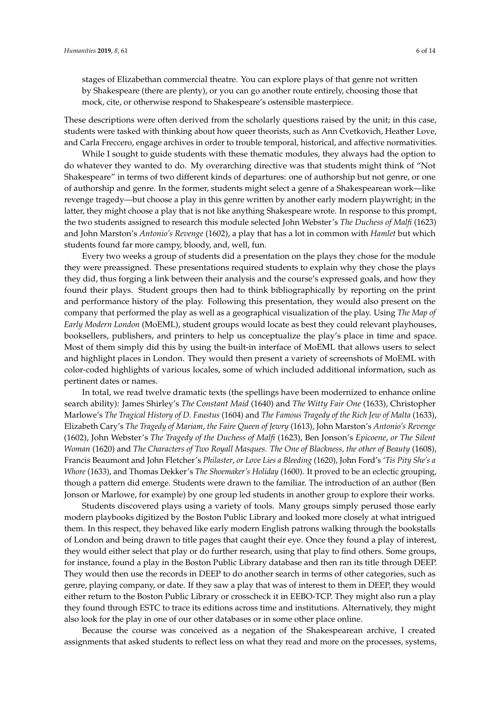stages of Elizabethan commercial theatre. You can explore plays of that genre not written by Shakespeare (there are plenty), or you can go another route entirely, choosing those that mock, cite, or otherwise respond to Shakespeare's ostensible masterpiece.

These descriptions were often derived from the scholarly questions raised by the unit; in this case, students were tasked with thinking about how queer theorists, such as Ann Cvetkovich, Heather Love, and Carla Freccero, engage archives in order to trouble temporal, historical, and affective normativities.

While I sought to guide students with these thematic modules, they always had the option to do whatever they wanted to do. My overarching directive was that students might think of "Not Shakespeare" in terms of two different kinds of departures: one of authorship but not genre, or one of authorship and genre. In the former, students might select a genre of a Shakespearean work—like revenge tragedy—but choose a play in this genre written by another early modern playwright; in the latter, they might choose a play that is not like anything Shakespeare wrote. In response to this prompt, the two students assigned to research this module selected John Webster's *The Duchess of Malfi* (1623) and John Marston's *Antonio's Revenge* (1602), a play that has a lot in common with *Hamlet* but which students found far more campy, bloody, and, well, fun.

Every two weeks a group of students did a presentation on the plays they chose for the module they were preassigned. These presentations required students to explain why they chose the plays they did, thus forging a link between their analysis and the course's expressed goals, and how they found their plays. Student groups then had to think bibliographically by reporting on the print and performance history of the play. Following this presentation, they would also present on the company that performed the play as well as a geographical visualization of the play. Using *The Map of Early Modern London* (MoEML), student groups would locate as best they could relevant playhouses, booksellers, publishers, and printers to help us conceptualize the play's place in time and space. Most of them simply did this by using the built-in interface of MoEML that allows users to select and highlight places in London. They would then present a variety of screenshots of MoEML with color-coded highlights of various locales, some of which included additional information, such as pertinent dates or names.

In total, we read twelve dramatic texts (the spellings have been modernized to enhance online search ability): James Shirley's *The Constant Maid* (1640) and *The Witty Fair One* (1633), Christopher Marlowe's *The Tragical History of D. Faustus* (1604) and *The Famous Tragedy of the Rich Jew of Malta* (1633), Elizabeth Cary's *The Tragedy of Mariam*, *the Faire Queen of Jewry* (1613), John Marston's *Antonio's Revenge* (1602), John Webster's *The Tragedy of the Duchess of Malfi* (1623), Ben Jonson's *Epicoene*, *or The Silent Woman* (1620) and *The Characters of Two Royall Masques. The One of Blackness, the other of Beauty* (1608), Francis Beaumont and John Fletcher's *Philaster*, *or Love Lies a Bleeding* (1620), John Ford's '*Tis Pity She's a Whore* (1633), and Thomas Dekker's *The Shoemaker's Holiday* (1600). It proved to be an eclectic grouping, though a pattern did emerge. Students were drawn to the familiar. The introduction of an author (Ben Jonson or Marlowe, for example) by one group led students in another group to explore their works.

Students discovered plays using a variety of tools. Many groups simply perused those early modern playbooks digitized by the Boston Public Library and looked more closely at what intrigued them. In this respect, they behaved like early modern English patrons walking through the bookstalls of London and being drawn to title pages that caught their eye. Once they found a play of interest, they would either select that play or do further research, using that play to find others. Some groups, for instance, found a play in the Boston Public Library database and then ran its title through DEEP. They would then use the records in DEEP to do another search in terms of other categories, such as genre, playing company, or date. If they saw a play that was of interest to them in DEEP, they would either return to the Boston Public Library or crosscheck it in EEBO-TCP. They might also run a play they found through ESTC to trace its editions across time and institutions. Alternatively, they might also look for the play in one of our other databases or in some other place online.

Because the course was conceived as a negation of the Shakespearean archive, I created assignments that asked students to reflect less on what they read and more on the processes, systems,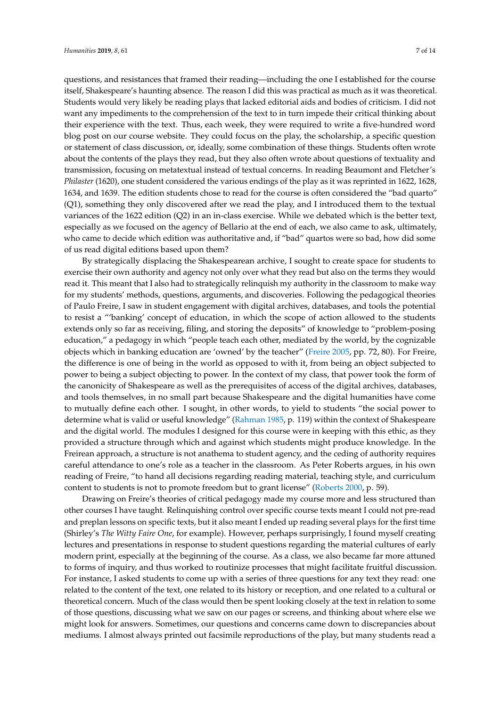of us read digital editions based upon them?

questions, and resistances that framed their reading—including the one I established for the course itself, Shakespeare's haunting absence. The reason I did this was practical as much as it was theoretical. Students would very likely be reading plays that lacked editorial aids and bodies of criticism. I did not want any impediments to the comprehension of the text to in turn impede their critical thinking about their experience with the text. Thus, each week, they were required to write a five-hundred word blog post on our course website. They could focus on the play, the scholarship, a specific question or statement of class discussion, or, ideally, some combination of these things. Students often wrote about the contents of the plays they read, but they also often wrote about questions of textuality and transmission, focusing on metatextual instead of textual concerns. In reading Beaumont and Fletcher's *Philaster* (1620), one student considered the various endings of the play as it was reprinted in 1622, 1628, 1634, and 1639. The edition students chose to read for the course is often considered the "bad quarto" (Q1), something they only discovered after we read the play, and I introduced them to the textual variances of the 1622 edition (Q2) in an in-class exercise. While we debated which is the better text, especially as we focused on the agency of Bellario at the end of each, we also came to ask, ultimately, who came to decide which edition was authoritative and, if "bad" quartos were so bad, how did some

By strategically displacing the Shakespearean archive, I sought to create space for students to exercise their own authority and agency not only over what they read but also on the terms they would read it. This meant that I also had to strategically relinquish my authority in the classroom to make way for my students' methods, questions, arguments, and discoveries. Following the pedagogical theories of Paulo Freire, I saw in student engagement with digital archives, databases, and tools the potential to resist a "'banking' concept of education, in which the scope of action allowed to the students extends only so far as receiving, filing, and storing the deposits" of knowledge to "problem-posing education," a pedagogy in which "people teach each other, mediated by the world, by the cognizable objects which in banking education are 'owned' by the teacher" [\(Freire](#page-12-10) [2005,](#page-12-10) pp. 72, 80). For Freire, the difference is one of being in the world as opposed to with it, from being an object subjected to power to being a subject objecting to power. In the context of my class, that power took the form of the canonicity of Shakespeare as well as the prerequisites of access of the digital archives, databases, and tools themselves, in no small part because Shakespeare and the digital humanities have come to mutually define each other. I sought, in other words, to yield to students "the social power to determine what is valid or useful knowledge" [\(Rahman](#page-13-8) [1985,](#page-13-8) p. 119) within the context of Shakespeare and the digital world. The modules I designed for this course were in keeping with this ethic, as they provided a structure through which and against which students might produce knowledge. In the Freirean approach, a structure is not anathema to student agency, and the ceding of authority requires careful attendance to one's role as a teacher in the classroom. As Peter Roberts argues, in his own reading of Freire, "to hand all decisions regarding reading material, teaching style, and curriculum content to students is not to promote freedom but to grant license" [\(Roberts](#page-13-9) [2000,](#page-13-9) p. 59).

Drawing on Freire's theories of critical pedagogy made my course more and less structured than other courses I have taught. Relinquishing control over specific course texts meant I could not pre-read and preplan lessons on specific texts, but it also meant I ended up reading several plays for the first time (Shirley's *The Witty Faire One*, for example). However, perhaps surprisingly, I found myself creating lectures and presentations in response to student questions regarding the material cultures of early modern print, especially at the beginning of the course. As a class, we also became far more attuned to forms of inquiry, and thus worked to routinize processes that might facilitate fruitful discussion. For instance, I asked students to come up with a series of three questions for any text they read: one related to the content of the text, one related to its history or reception, and one related to a cultural or theoretical concern. Much of the class would then be spent looking closely at the text in relation to some of those questions, discussing what we saw on our pages or screens, and thinking about where else we might look for answers. Sometimes, our questions and concerns came down to discrepancies about mediums. I almost always printed out facsimile reproductions of the play, but many students read a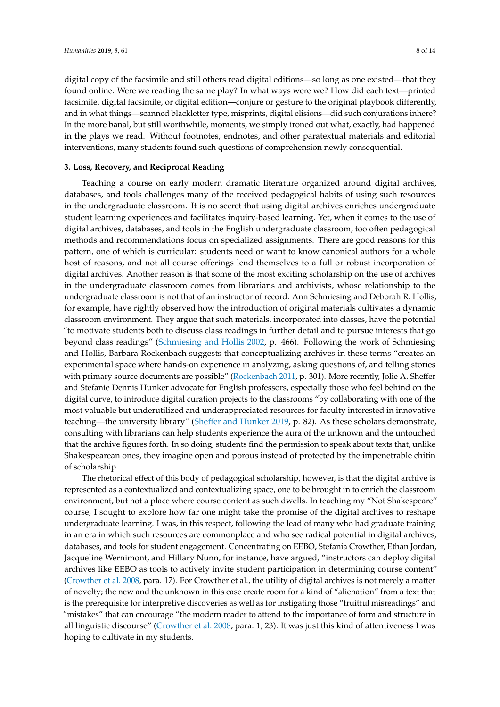digital copy of the facsimile and still others read digital editions—so long as one existed—that they found online. Were we reading the same play? In what ways were we? How did each text—printed facsimile, digital facsimile, or digital edition—conjure or gesture to the original playbook differently, and in what things—scanned blackletter type, misprints, digital elisions—did such conjurations inhere? In the more banal, but still worthwhile, moments, we simply ironed out what, exactly, had happened in the plays we read. Without footnotes, endnotes, and other paratextual materials and editorial interventions, many students found such questions of comprehension newly consequential.

### **3. Loss, Recovery, and Reciprocal Reading**

Teaching a course on early modern dramatic literature organized around digital archives, databases, and tools challenges many of the received pedagogical habits of using such resources in the undergraduate classroom. It is no secret that using digital archives enriches undergraduate student learning experiences and facilitates inquiry-based learning. Yet, when it comes to the use of digital archives, databases, and tools in the English undergraduate classroom, too often pedagogical methods and recommendations focus on specialized assignments. There are good reasons for this pattern, one of which is curricular: students need or want to know canonical authors for a whole host of reasons, and not all course offerings lend themselves to a full or robust incorporation of digital archives. Another reason is that some of the most exciting scholarship on the use of archives in the undergraduate classroom comes from librarians and archivists, whose relationship to the undergraduate classroom is not that of an instructor of record. Ann Schmiesing and Deborah R. Hollis, for example, have rightly observed how the introduction of original materials cultivates a dynamic classroom environment. They argue that such materials, incorporated into classes, have the potential "to motivate students both to discuss class readings in further detail and to pursue interests that go beyond class readings" [\(Schmiesing and Hollis](#page-13-10) [2002,](#page-13-10) p. 466). Following the work of Schmiesing and Hollis, Barbara Rockenbach suggests that conceptualizing archives in these terms "creates an experimental space where hands-on experience in analyzing, asking questions of, and telling stories with primary source documents are possible" [\(Rockenbach](#page-13-11) [2011,](#page-13-11) p. 301). More recently, Jolie A. Sheffer and Stefanie Dennis Hunker advocate for English professors, especially those who feel behind on the digital curve, to introduce digital curation projects to the classrooms "by collaborating with one of the most valuable but underutilized and underappreciated resources for faculty interested in innovative teaching—the university library" [\(Sheffer and Hunker](#page-13-12) [2019,](#page-13-12) p. 82). As these scholars demonstrate, consulting with librarians can help students experience the aura of the unknown and the untouched that the archive figures forth. In so doing, students find the permission to speak about texts that, unlike Shakespearean ones, they imagine open and porous instead of protected by the impenetrable chitin of scholarship.

The rhetorical effect of this body of pedagogical scholarship, however, is that the digital archive is represented as a contextualized and contextualizing space, one to be brought in to enrich the classroom environment, but not a place where course content as such dwells. In teaching my "Not Shakespeare" course, I sought to explore how far one might take the promise of the digital archives to reshape undergraduate learning. I was, in this respect, following the lead of many who had graduate training in an era in which such resources are commonplace and who see radical potential in digital archives, databases, and tools for student engagement. Concentrating on EEBO, Stefania Crowther, Ethan Jordan, Jacqueline Wernimont, and Hillary Nunn, for instance, have argued, "instructors can deploy digital archives like EEBO as tools to actively invite student participation in determining course content" [\(Crowther et al.](#page-12-11) [2008,](#page-12-11) para. 17). For Crowther et al., the utility of digital archives is not merely a matter of novelty; the new and the unknown in this case create room for a kind of "alienation" from a text that is the prerequisite for interpretive discoveries as well as for instigating those "fruitful misreadings" and "mistakes" that can encourage "the modern reader to attend to the importance of form and structure in all linguistic discourse" [\(Crowther et al.](#page-12-11) [2008,](#page-12-11) para. 1, 23). It was just this kind of attentiveness I was hoping to cultivate in my students.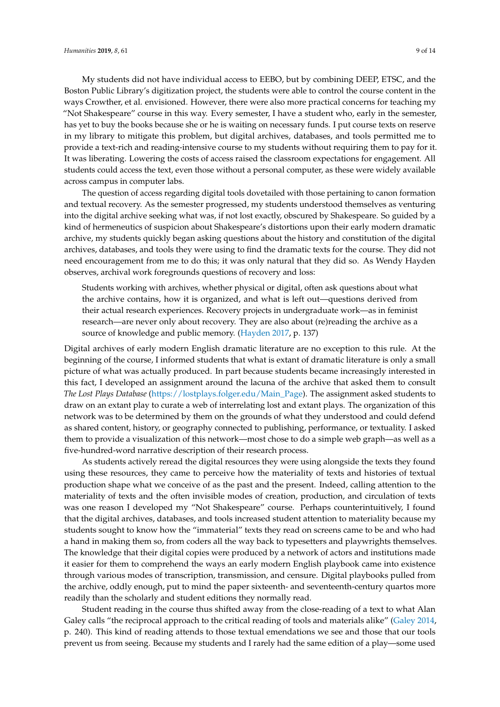My students did not have individual access to EEBO, but by combining DEEP, ETSC, and the Boston Public Library's digitization project, the students were able to control the course content in the ways Crowther, et al. envisioned. However, there were also more practical concerns for teaching my "Not Shakespeare" course in this way. Every semester, I have a student who, early in the semester, has yet to buy the books because she or he is waiting on necessary funds. I put course texts on reserve in my library to mitigate this problem, but digital archives, databases, and tools permitted me to provide a text-rich and reading-intensive course to my students without requiring them to pay for it. It was liberating. Lowering the costs of access raised the classroom expectations for engagement. All students could access the text, even those without a personal computer, as these were widely available across campus in computer labs.

The question of access regarding digital tools dovetailed with those pertaining to canon formation and textual recovery. As the semester progressed, my students understood themselves as venturing into the digital archive seeking what was, if not lost exactly, obscured by Shakespeare. So guided by a kind of hermeneutics of suspicion about Shakespeare's distortions upon their early modern dramatic archive, my students quickly began asking questions about the history and constitution of the digital archives, databases, and tools they were using to find the dramatic texts for the course. They did not need encouragement from me to do this; it was only natural that they did so. As Wendy Hayden observes, archival work foregrounds questions of recovery and loss:

Students working with archives, whether physical or digital, often ask questions about what the archive contains, how it is organized, and what is left out—questions derived from their actual research experiences. Recovery projects in undergraduate work—as in feminist research—are never only about recovery. They are also about (re)reading the archive as a source of knowledge and public memory. [\(Hayden](#page-12-12) [2017,](#page-12-12) p. 137)

Digital archives of early modern English dramatic literature are no exception to this rule. At the beginning of the course, I informed students that what is extant of dramatic literature is only a small picture of what was actually produced. In part because students became increasingly interested in this fact, I developed an assignment around the lacuna of the archive that asked them to consult *The Lost Plays Database* [\(https://lostplays.folger.edu/Main\\_Page\)](https://lostplays.folger.edu/Main_Page). The assignment asked students to draw on an extant play to curate a web of interrelating lost and extant plays. The organization of this network was to be determined by them on the grounds of what they understood and could defend as shared content, history, or geography connected to publishing, performance, or textuality. I asked them to provide a visualization of this network—most chose to do a simple web graph—as well as a five-hundred-word narrative description of their research process.

As students actively reread the digital resources they were using alongside the texts they found using these resources, they came to perceive how the materiality of texts and histories of textual production shape what we conceive of as the past and the present. Indeed, calling attention to the materiality of texts and the often invisible modes of creation, production, and circulation of texts was one reason I developed my "Not Shakespeare" course. Perhaps counterintuitively, I found that the digital archives, databases, and tools increased student attention to materiality because my students sought to know how the "immaterial" texts they read on screens came to be and who had a hand in making them so, from coders all the way back to typesetters and playwrights themselves. The knowledge that their digital copies were produced by a network of actors and institutions made it easier for them to comprehend the ways an early modern English playbook came into existence through various modes of transcription, transmission, and censure. Digital playbooks pulled from the archive, oddly enough, put to mind the paper sixteenth- and seventeenth-century quartos more readily than the scholarly and student editions they normally read.

Student reading in the course thus shifted away from the close-reading of a text to what Alan Galey calls "the reciprocal approach to the critical reading of tools and materials alike" [\(Galey](#page-12-5) [2014,](#page-12-5) p. 240). This kind of reading attends to those textual emendations we see and those that our tools prevent us from seeing. Because my students and I rarely had the same edition of a play—some used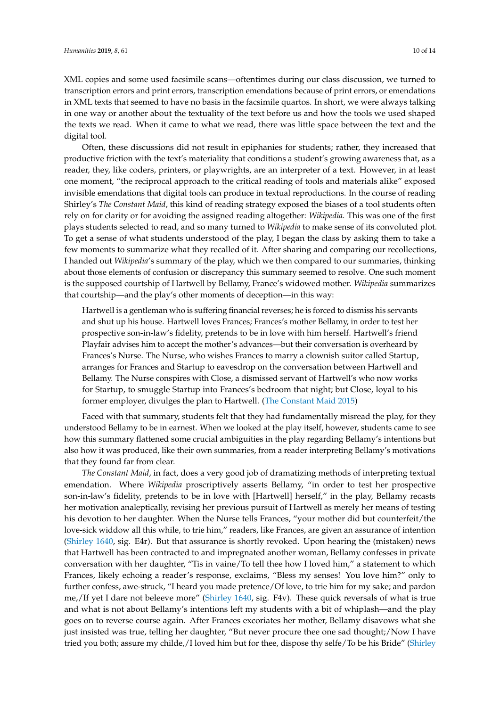XML copies and some used facsimile scans—oftentimes during our class discussion, we turned to transcription errors and print errors, transcription emendations because of print errors, or emendations in XML texts that seemed to have no basis in the facsimile quartos. In short, we were always talking in one way or another about the textuality of the text before us and how the tools we used shaped the texts we read. When it came to what we read, there was little space between the text and the digital tool.

Often, these discussions did not result in epiphanies for students; rather, they increased that productive friction with the text's materiality that conditions a student's growing awareness that, as a reader, they, like coders, printers, or playwrights, are an interpreter of a text. However, in at least one moment, "the reciprocal approach to the critical reading of tools and materials alike" exposed invisible emendations that digital tools can produce in textual reproductions. In the course of reading Shirley's *The Constant Maid*, this kind of reading strategy exposed the biases of a tool students often rely on for clarity or for avoiding the assigned reading altogether: *Wikipedia*. This was one of the first plays students selected to read, and so many turned to *Wikipedia* to make sense of its convoluted plot. To get a sense of what students understood of the play, I began the class by asking them to take a few moments to summarize what they recalled of it. After sharing and comparing our recollections, I handed out *Wikipedia*'s summary of the play, which we then compared to our summaries, thinking about those elements of confusion or discrepancy this summary seemed to resolve. One such moment is the supposed courtship of Hartwell by Bellamy, France's widowed mother. *Wikipedia* summarizes that courtship—and the play's other moments of deception—in this way:

Hartwell is a gentleman who is suffering financial reverses; he is forced to dismiss his servants and shut up his house. Hartwell loves Frances; Frances's mother Bellamy, in order to test her prospective son-in-law's fidelity, pretends to be in love with him herself. Hartwell's friend Playfair advises him to accept the mother's advances—but their conversation is overheard by Frances's Nurse. The Nurse, who wishes Frances to marry a clownish suitor called Startup, arranges for Frances and Startup to eavesdrop on the conversation between Hartwell and Bellamy. The Nurse conspires with Close, a dismissed servant of Hartwell's who now works for Startup, to smuggle Startup into Frances's bedroom that night; but Close, loyal to his former employer, divulges the plan to Hartwell. [\(The Constant Maid](#page-13-13) [2015\)](#page-13-13)

Faced with that summary, students felt that they had fundamentally misread the play, for they understood Bellamy to be in earnest. When we looked at the play itself, however, students came to see how this summary flattened some crucial ambiguities in the play regarding Bellamy's intentions but also how it was produced, like their own summaries, from a reader interpreting Bellamy's motivations that they found far from clear.

*The Constant Maid*, in fact, does a very good job of dramatizing methods of interpreting textual emendation. Where *Wikipedia* proscriptively asserts Bellamy, "in order to test her prospective son-in-law's fidelity, pretends to be in love with [Hartwell] herself," in the play, Bellamy recasts her motivation analeptically, revising her previous pursuit of Hartwell as merely her means of testing his devotion to her daughter. When the Nurse tells Frances, "your mother did but counterfeit/the love-sick widdow all this while, to trie him," readers, like Frances, are given an assurance of intention [\(Shirley](#page-13-14) [1640,](#page-13-14) sig. E4r). But that assurance is shortly revoked. Upon hearing the (mistaken) news that Hartwell has been contracted to and impregnated another woman, Bellamy confesses in private conversation with her daughter, "Tis in vaine/To tell thee how I loved him," a statement to which Frances, likely echoing a reader's response, exclaims, "Bless my senses! You love him?" only to further confess, awe-struck, "I heard you made pretence/Of love, to trie him for my sake; and pardon me,/If yet I dare not beleeve more" [\(Shirley](#page-13-14) [1640,](#page-13-14) sig. F4v). These quick reversals of what is true and what is not about Bellamy's intentions left my students with a bit of whiplash—and the play goes on to reverse course again. After Frances excoriates her mother, Bellamy disavows what she just insisted was true, telling her daughter, "But never procure thee one sad thought;/Now I have tried you both; assure my childe,/I loved him but for thee, dispose thy selfe/To be his Bride" [\(Shirley](#page-13-14)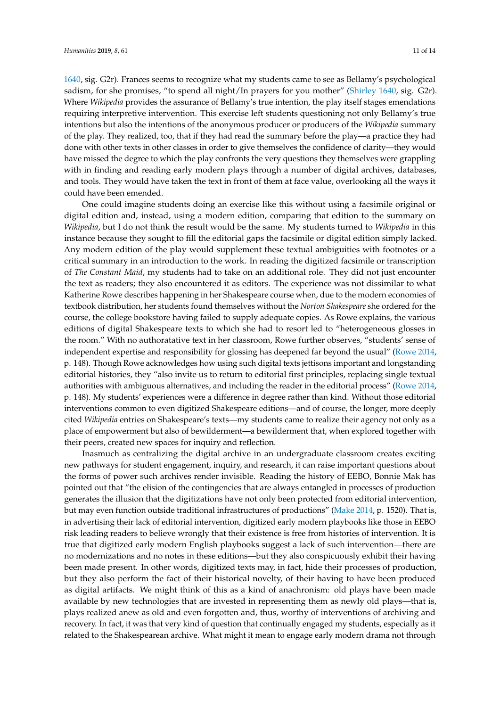[1640,](#page-13-14) sig. G2r). Frances seems to recognize what my students came to see as Bellamy's psychological sadism, for she promises, "to spend all night/In prayers for you mother" [\(Shirley](#page-13-14) [1640,](#page-13-14) sig. G2r). Where *Wikipedia* provides the assurance of Bellamy's true intention, the play itself stages emendations requiring interpretive intervention. This exercise left students questioning not only Bellamy's true intentions but also the intentions of the anonymous producer or producers of the *Wikipedia* summary of the play. They realized, too, that if they had read the summary before the play—a practice they had done with other texts in other classes in order to give themselves the confidence of clarity—they would have missed the degree to which the play confronts the very questions they themselves were grappling with in finding and reading early modern plays through a number of digital archives, databases, and tools. They would have taken the text in front of them at face value, overlooking all the ways it could have been emended.

One could imagine students doing an exercise like this without using a facsimile original or digital edition and, instead, using a modern edition, comparing that edition to the summary on *Wikipedia*, but I do not think the result would be the same. My students turned to *Wikipedia* in this instance because they sought to fill the editorial gaps the facsimile or digital edition simply lacked. Any modern edition of the play would supplement these textual ambiguities with footnotes or a critical summary in an introduction to the work. In reading the digitized facsimile or transcription of *The Constant Maid*, my students had to take on an additional role. They did not just encounter the text as readers; they also encountered it as editors. The experience was not dissimilar to what Katherine Rowe describes happening in her Shakespeare course when, due to the modern economies of textbook distribution, her students found themselves without the *Norton Shakespeare* she ordered for the course, the college bookstore having failed to supply adequate copies. As Rowe explains, the various editions of digital Shakespeare texts to which she had to resort led to "heterogeneous glosses in the room." With no authoratative text in her classroom, Rowe further observes, "students' sense of independent expertise and responsibility for glossing has deepened far beyond the usual" [\(Rowe](#page-13-15) [2014,](#page-13-15) p. 148). Though Rowe acknowledges how using such digital texts jettisons important and longstanding editorial histories, they "also invite us to return to editorial first principles, replacing single textual authorities with ambiguous alternatives, and including the reader in the editorial process" [\(Rowe](#page-13-15) [2014,](#page-13-15) p. 148). My students' experiences were a difference in degree rather than kind. Without those editorial interventions common to even digitized Shakespeare editions—and of course, the longer, more deeply cited *Wikipedia* entries on Shakespeare's texts—my students came to realize their agency not only as a place of empowerment but also of bewilderment—a bewilderment that, when explored together with their peers, created new spaces for inquiry and reflection.

Inasmuch as centralizing the digital archive in an undergraduate classroom creates exciting new pathways for student engagement, inquiry, and research, it can raise important questions about the forms of power such archives render invisible. Reading the history of EEBO, Bonnie Mak has pointed out that "the elision of the contingencies that are always entangled in processes of production generates the illusion that the digitizations have not only been protected from editorial intervention, but may even function outside traditional infrastructures of productions" [\(Make](#page-13-16) [2014,](#page-13-16) p. 1520). That is, in advertising their lack of editorial intervention, digitized early modern playbooks like those in EEBO risk leading readers to believe wrongly that their existence is free from histories of intervention. It is true that digitized early modern English playbooks suggest a lack of such intervention—there are no modernizations and no notes in these editions—but they also conspicuously exhibit their having been made present. In other words, digitized texts may, in fact, hide their processes of production, but they also perform the fact of their historical novelty, of their having to have been produced as digital artifacts. We might think of this as a kind of anachronism: old plays have been made available by new technologies that are invested in representing them as newly old plays—that is, plays realized anew as old and even forgotten and, thus, worthy of interventions of archiving and recovery. In fact, it was that very kind of question that continually engaged my students, especially as it related to the Shakespearean archive. What might it mean to engage early modern drama not through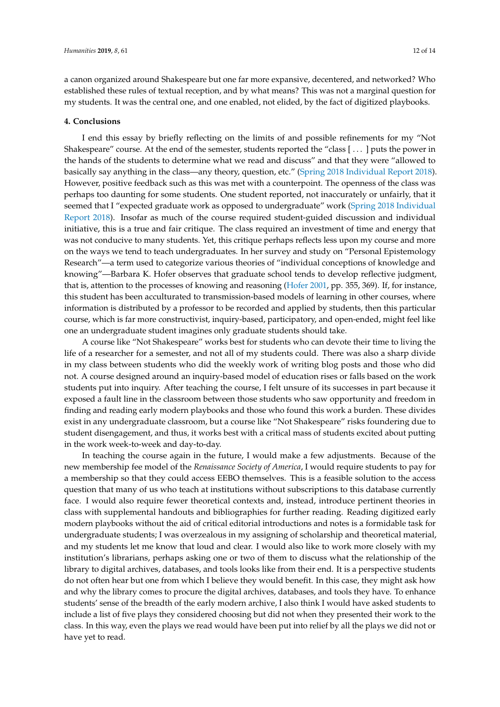a canon organized around Shakespeare but one far more expansive, decentered, and networked? Who established these rules of textual reception, and by what means? This was not a marginal question for my students. It was the central one, and one enabled, not elided, by the fact of digitized playbooks.

#### **4. Conclusions**

I end this essay by briefly reflecting on the limits of and possible refinements for my "Not Shakespeare" course. At the end of the semester, students reported the "class [ . . . ] puts the power in the hands of the students to determine what we read and discuss" and that they were "allowed to basically say anything in the class—any theory, question, etc." [\(Spring 2018 Individual Report](#page-13-17) [2018\)](#page-13-17). However, positive feedback such as this was met with a counterpoint. The openness of the class was perhaps too daunting for some students. One student reported, not inaccurately or unfairly, that it seemed that I "expected graduate work as opposed to undergraduate" work [\(Spring 2018 Individual](#page-13-17) [Report](#page-13-17) [2018\)](#page-13-17). Insofar as much of the course required student-guided discussion and individual initiative, this is a true and fair critique. The class required an investment of time and energy that was not conducive to many students. Yet, this critique perhaps reflects less upon my course and more on the ways we tend to teach undergraduates. In her survey and study on "Personal Epistemology Research"—a term used to categorize various theories of "individual conceptions of knowledge and knowing"—Barbara K. Hofer observes that graduate school tends to develop reflective judgment, that is, attention to the processes of knowing and reasoning [\(Hofer](#page-12-13) [2001,](#page-12-13) pp. 355, 369). If, for instance, this student has been acculturated to transmission-based models of learning in other courses, where information is distributed by a professor to be recorded and applied by students, then this particular course, which is far more constructivist, inquiry-based, participatory, and open-ended, might feel like one an undergraduate student imagines only graduate students should take.

A course like "Not Shakespeare" works best for students who can devote their time to living the life of a researcher for a semester, and not all of my students could. There was also a sharp divide in my class between students who did the weekly work of writing blog posts and those who did not. A course designed around an inquiry-based model of education rises or falls based on the work students put into inquiry. After teaching the course, I felt unsure of its successes in part because it exposed a fault line in the classroom between those students who saw opportunity and freedom in finding and reading early modern playbooks and those who found this work a burden. These divides exist in any undergraduate classroom, but a course like "Not Shakespeare" risks foundering due to student disengagement, and thus, it works best with a critical mass of students excited about putting in the work week-to-week and day-to-day.

In teaching the course again in the future, I would make a few adjustments. Because of the new membership fee model of the *Renaissance Society of America*, I would require students to pay for a membership so that they could access EEBO themselves. This is a feasible solution to the access question that many of us who teach at institutions without subscriptions to this database currently face. I would also require fewer theoretical contexts and, instead, introduce pertinent theories in class with supplemental handouts and bibliographies for further reading. Reading digitized early modern playbooks without the aid of critical editorial introductions and notes is a formidable task for undergraduate students; I was overzealous in my assigning of scholarship and theoretical material, and my students let me know that loud and clear. I would also like to work more closely with my institution's librarians, perhaps asking one or two of them to discuss what the relationship of the library to digital archives, databases, and tools looks like from their end. It is a perspective students do not often hear but one from which I believe they would benefit. In this case, they might ask how and why the library comes to procure the digital archives, databases, and tools they have. To enhance students' sense of the breadth of the early modern archive, I also think I would have asked students to include a list of five plays they considered choosing but did not when they presented their work to the class. In this way, even the plays we read would have been put into relief by all the plays we did not or have yet to read.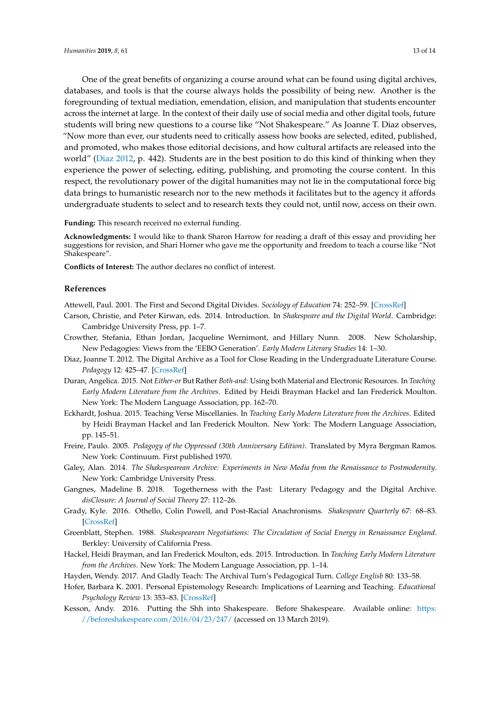One of the great benefits of organizing a course around what can be found using digital archives, databases, and tools is that the course always holds the possibility of being new. Another is the foregrounding of textual mediation, emendation, elision, and manipulation that students encounter across the internet at large. In the context of their daily use of social media and other digital tools, future students will bring new questions to a course like "Not Shakespeare." As Joanne T. Diaz observes, "Now more than ever, our students need to critically assess how books are selected, edited, published, and promoted, who makes those editorial decisions, and how cultural artifacts are released into the world" [\(Diaz](#page-12-14) [2012,](#page-12-14) p. 442). Students are in the best position to do this kind of thinking when they experience the power of selecting, editing, publishing, and promoting the course content. In this respect, the revolutionary power of the digital humanities may not lie in the computational force big data brings to humanistic research nor to the new methods it facilitates but to the agency it affords undergraduate students to select and to research texts they could not, until now, access on their own.

**Funding:** This research received no external funding.

**Acknowledgments:** I would like to thank Sharon Harrow for reading a draft of this essay and providing her suggestions for revision, and Shari Horner who gave me the opportunity and freedom to teach a course like "Not Shakespeare".

**Conflicts of Interest:** The author declares no conflict of interest.

### **References**

<span id="page-12-4"></span>Attewell, Paul. 2001. The First and Second Digital Divides. *Sociology of Education* 74: 252–59. [\[CrossRef\]](http://dx.doi.org/10.2307/2673277)

- <span id="page-12-6"></span>Carson, Christie, and Peter Kirwan, eds. 2014. Introduction. In *Shakespeare and the Digital World*. Cambridge: Cambridge University Press, pp. 1–7.
- <span id="page-12-11"></span>Crowther, Stefania, Ethan Jordan, Jacqueline Wernimont, and Hillary Nunn. 2008. New Scholarship, New Pedagogies: Views from the 'EEBO Generation'. *Early Modern Literary Studies* 14: 1–30.
- <span id="page-12-14"></span>Diaz, Joanne T. 2012. The Digital Archive as a Tool for Close Reading in the Undergraduate Literature Course. *Pedagogy* 12: 425–47. [\[CrossRef\]](http://dx.doi.org/10.1215/15314200-1625244)
- <span id="page-12-0"></span>Duran, Angelica. 2015. Not *Either-or* But Rather *Both-and*: Using both Material and Electronic Resources. In *Teaching Early Modern Literature from the Archives*. Edited by Heidi Brayman Hackel and Ian Frederick Moulton. New York: The Modern Language Association, pp. 162–70.
- <span id="page-12-1"></span>Eckhardt, Joshua. 2015. Teaching Verse Miscellanies. In *Teaching Early Modern Literature from the Archives*. Edited by Heidi Brayman Hackel and Ian Frederick Moulton. New York: The Modern Language Association, pp. 145–51.
- <span id="page-12-10"></span>Freire, Paulo. 2005. *Pedagogy of the Oppressed (30th Anniversary Edition)*. Translated by Myra Bergman Ramos. New York: Continuum. First published 1970.
- <span id="page-12-5"></span>Galey, Alan. 2014. *The Shakespearean Archive: Experiments in New Media from the Renaissance to Postmodernity*. New York: Cambridge University Press.
- <span id="page-12-3"></span>Gangnes, Madeline B. 2018. Togetherness with the Past: Literary Pedagogy and the Digital Archive. *disClosure: A Journal of Social Theory* 27: 112–26.
- <span id="page-12-9"></span>Grady, Kyle. 2016. Othello, Colin Powell, and Post-Racial Anachronisms. *Shakespeare Quarterly* 67: 68–83. [\[CrossRef\]](http://dx.doi.org/10.1353/shq.2016.0015)
- <span id="page-12-8"></span>Greenblatt, Stephen. 1988. *Shakespearean Negotiations: The Circulation of Social Energy in Renaissance England*. Berkley: University of California Press.
- <span id="page-12-2"></span>Hackel, Heidi Brayman, and Ian Frederick Moulton, eds. 2015. Introduction. In *Teaching Early Modern Literature from the Archives*. New York: The Modern Language Association, pp. 1–14.
- <span id="page-12-13"></span><span id="page-12-12"></span>Hayden, Wendy. 2017. And Gladly Teach: The Archival Turn's Pedagogical Turn. *College Englisb* 80: 133–58.
- Hofer, Barbara K. 2001. Personal Epistemology Research: Implications of Learning and Teaching. *Educational Psychology Review* 13: 353–83. [\[CrossRef\]](http://dx.doi.org/10.1023/A:1011965830686)
- <span id="page-12-7"></span>Kesson, Andy. 2016. Putting the Shh into Shakespeare. Before Shakespeare. Available online: [https:](https://beforeshakespeare.com/2016/04/23/247/) [//beforeshakespeare.com/2016/04/23/247/](https://beforeshakespeare.com/2016/04/23/247/) (accessed on 13 March 2019).